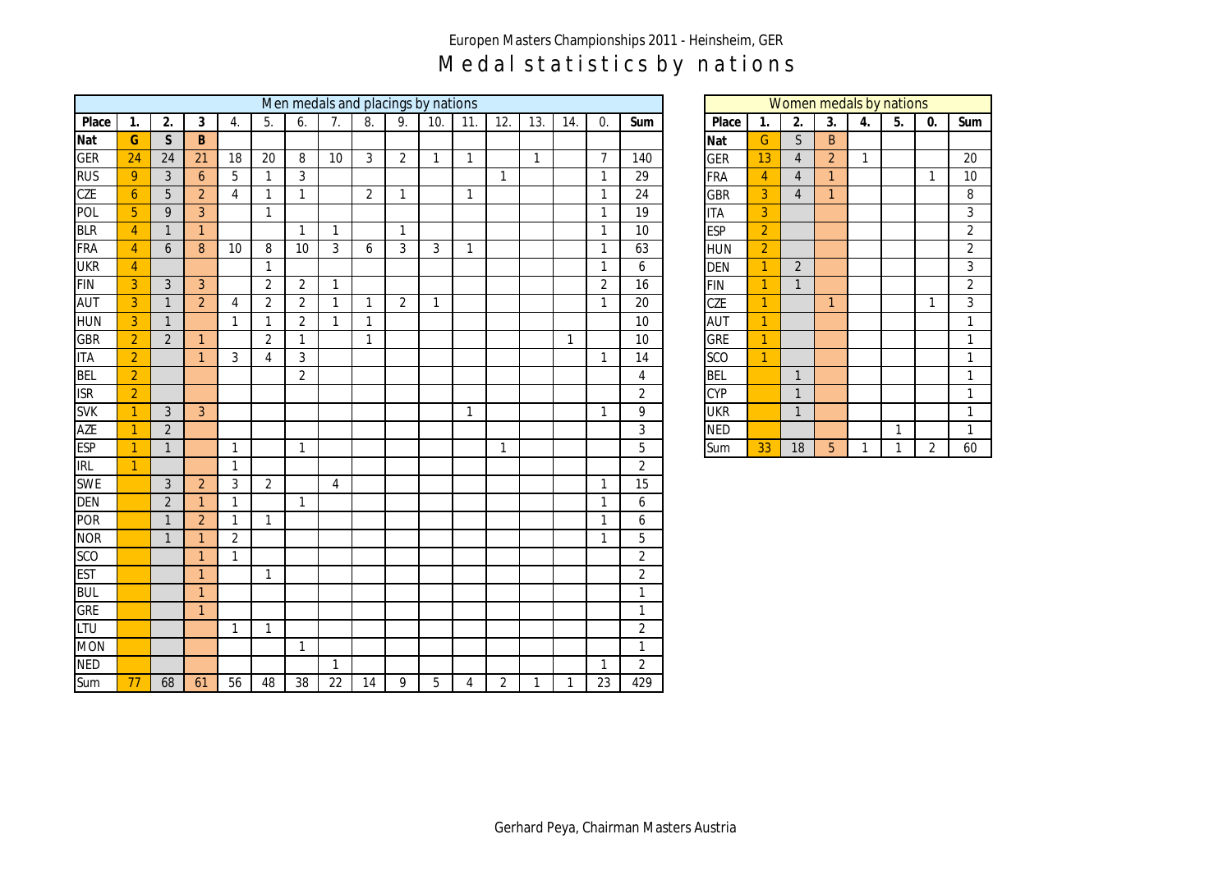## Europen Masters Championships 2011 - Heinsheim, GER Medal statistics by nations

|            | Men medals and placings by nations |                |                  |                |                |                |                |                  |                  |                |                |                |              |              |                |                 |            | Women medals by nations |                |                |              |              |                |                |
|------------|------------------------------------|----------------|------------------|----------------|----------------|----------------|----------------|------------------|------------------|----------------|----------------|----------------|--------------|--------------|----------------|-----------------|------------|-------------------------|----------------|----------------|--------------|--------------|----------------|----------------|
| Place      | 1.                                 | 2.             | 3                | 4.             | 5.             | 6.             | 7.             | $\overline{8}$ . | $\overline{9}$ . | 10.            | 11.            | 12.            | 13.          | 14.          | 0.             | Sum             | Place      | $\mathbf{1}$ .          | 2.             | 3.             | 4.           | 5.           | 0.             | Sum            |
| Nat        | G                                  | $\mathsf{S}$   | $\mathsf{B}$     |                |                |                |                |                  |                  |                |                |                |              |              |                |                 | Nat        | ${\mathsf G}$           | $\mathsf{S}$   | B              |              |              |                |                |
| <b>GER</b> | 24                                 | 24             | 21               | 18             | $20\,$         | 8              | 10             | $\mathbf{3}$     | $\overline{2}$   | $\mathbf{1}$   | $\overline{1}$ |                | $\mathbf{1}$ |              | $\overline{7}$ | 140             | <b>GER</b> | 13                      | $\overline{4}$ | $\overline{2}$ | $\mathbf{1}$ |              |                | 20             |
| <b>RUS</b> | $\overline{9}$                     | $\mathfrak{Z}$ | $\boldsymbol{6}$ | 5              | $\mathbf{1}$   | $\mathbf{3}$   |                |                  |                  |                |                | $\mathbf{1}$   |              |              | $\mathbf{1}$   | 29              | <b>FRA</b> | $\overline{4}$          | $\overline{4}$ | $\mathbf{1}$   |              |              | $\mathbf{1}$   | $10\,$         |
| <b>CZE</b> | $\overline{6}$                     | $\overline{5}$ | $\overline{2}$   | $\overline{4}$ | $\mathbf{1}$   | $\mathbf{1}$   |                | $\overline{2}$   | $\mathbf{1}$     |                | $\mathbf{1}$   |                |              |              | $\mathbf{1}$   | 24              | <b>GBR</b> | $\overline{3}$          | $\overline{4}$ | $\mathbf{1}$   |              |              |                | $\overline{8}$ |
| POL        | $\overline{5}$                     | 9              | $\overline{3}$   |                | $\mathbf{1}$   |                |                |                  |                  |                |                |                |              |              | $\mathbf{1}$   | 19              | <b>ITA</b> | $\overline{3}$          |                |                |              |              |                | $\mathbf{3}$   |
| <b>BLR</b> | $\overline{4}$                     | $\mathbf{1}$   | $\overline{1}$   |                |                | $\overline{1}$ | $\overline{1}$ |                  | $\mathbf{1}$     |                |                |                |              |              | 1              | 10              | <b>ESP</b> | $\overline{2}$          |                |                |              |              |                | $\overline{2}$ |
| <b>FRA</b> | $\overline{4}$                     | 6              | $\boldsymbol{8}$ | 10             | 8              | 10             | $\mathbf{3}$   | 6                | $\mathfrak{Z}$   | $\mathfrak{Z}$ | $\mathbf{1}$   |                |              |              | $\mathbf{1}$   | 63              | <b>HUN</b> | $\overline{2}$          |                |                |              |              |                | $\overline{2}$ |
| <b>UKR</b> | $\overline{4}$                     |                |                  |                | $\mathbf{1}$   |                |                |                  |                  |                |                |                |              |              | $\mathbf{1}$   | 6               | <b>DEN</b> | $\overline{1}$          | $\overline{2}$ |                |              |              |                | $\overline{3}$ |
| <b>FIN</b> | $\overline{3}$                     | $\mathfrak{Z}$ | $\overline{3}$   |                | $\overline{2}$ | $\overline{2}$ | $\overline{1}$ |                  |                  |                |                |                |              |              | $\overline{2}$ | 16              | <b>FIN</b> | $\overline{1}$          | $\overline{1}$ |                |              |              |                | $\overline{2}$ |
| <b>AUT</b> | $\overline{3}$                     | $\mathbf{1}$   | $\overline{2}$   | 4              | $\overline{2}$ | $\overline{2}$ | $\overline{1}$ | $\mathbf{1}$     | $\overline{2}$   | $\mathbf{1}$   |                |                |              |              | $\mathbf{1}$   | 20              | CZE        | $\mathbf{1}$            |                | $\mathbf{1}$   |              |              | $\mathbf{1}$   | $\overline{3}$ |
| <b>HUN</b> | $\overline{3}$                     | $\mathbf{1}$   |                  | $\mathbf{1}$   | $\mathbf{1}$   | $\overline{2}$ | $\mathbf{1}$   | $\mathbf{1}$     |                  |                |                |                |              |              |                | 10              | <b>AUT</b> | $\mathbf{1}$            |                |                |              |              |                | $\mathbf{1}$   |
| <b>GBR</b> | $\overline{2}$                     | $\overline{2}$ | $\overline{1}$   |                | $\overline{2}$ | $\mathbf{1}$   |                | $\mathbf{1}$     |                  |                |                |                |              | $\mathbf{1}$ |                | 10              | <b>GRE</b> | $\overline{1}$          |                |                |              |              |                | $\mathbf{1}$   |
| <b>ITA</b> | $\overline{2}$                     |                | $\mathbf{1}$     | 3              | $\overline{4}$ | $\mathfrak{Z}$ |                |                  |                  |                |                |                |              |              | $\mathbf{1}$   | 14              | <b>SCO</b> | $\overline{1}$          |                |                |              |              |                | $\mathbf{1}$   |
| <b>BEL</b> | $\overline{2}$                     |                |                  |                |                | $\overline{2}$ |                |                  |                  |                |                |                |              |              |                | 4               | <b>BEL</b> |                         | $\mathbf{1}$   |                |              |              |                | $\mathbf{1}$   |
| <b>ISR</b> | $\overline{2}$                     |                |                  |                |                |                |                |                  |                  |                |                |                |              |              |                | $\overline{2}$  | <b>CYP</b> |                         | $\mathbf{1}$   |                |              |              |                | $\mathbf{1}$   |
| <b>SVK</b> | $\overline{1}$                     | $\mathfrak{Z}$ | $\overline{3}$   |                |                |                |                |                  |                  |                | $\mathbf{1}$   |                |              |              | $\mathbf{1}$   | 9               | <b>UKR</b> |                         | $\mathbf{1}$   |                |              |              |                | $\mathbf{1}$   |
| <b>AZE</b> | $\mathbf{1}$                       | $\overline{2}$ |                  |                |                |                |                |                  |                  |                |                |                |              |              |                | $\overline{3}$  | <b>NED</b> |                         |                |                |              | $\mathbf{1}$ |                | $\mathbf{1}$   |
| <b>ESP</b> | $\overline{1}$                     | $\mathbf{1}$   |                  | $\mathbf{1}$   |                | $\mathbf{1}$   |                |                  |                  |                |                | $\mathbf{1}$   |              |              |                | 5               | Sum        | 33                      | $18\,$         | 5              | $\mathbf{1}$ | $\mathbf{1}$ | $\overline{2}$ | 60             |
| IRL        | $\overline{1}$                     |                |                  | $\mathbf{1}$   |                |                |                |                  |                  |                |                |                |              |              |                | $\overline{2}$  |            |                         |                |                |              |              |                |                |
| <b>SWE</b> |                                    | $\overline{3}$ | $\overline{2}$   | $\mathfrak{Z}$ | $\overline{2}$ |                | $\overline{4}$ |                  |                  |                |                |                |              |              | $\mathbf{1}$   | $\overline{15}$ |            |                         |                |                |              |              |                |                |
| <b>DEN</b> |                                    | $\overline{2}$ | $\overline{1}$   | $\mathbf{1}$   |                | $\mathbf{1}$   |                |                  |                  |                |                |                |              |              | $\mathbf 1$    | 6               |            |                         |                |                |              |              |                |                |
| <b>POR</b> |                                    | $\mathbf{1}$   | $\overline{2}$   | $\mathbf{1}$   | $\mathbf{1}$   |                |                |                  |                  |                |                |                |              |              | $\mathbf{1}$   | 6               |            |                         |                |                |              |              |                |                |
| <b>NOR</b> |                                    | $\mathbf{1}$   | $\mathbf{1}$     | $\overline{2}$ |                |                |                |                  |                  |                |                |                |              |              | $\mathbf{1}$   | 5               |            |                         |                |                |              |              |                |                |
| SCO        |                                    |                | $\mathbf{1}$     | $\mathbf{1}$   |                |                |                |                  |                  |                |                |                |              |              |                | $\overline{a}$  |            |                         |                |                |              |              |                |                |
| <b>EST</b> |                                    |                | $\mathbf{1}$     |                | $\mathbf{1}$   |                |                |                  |                  |                |                |                |              |              |                | $\overline{2}$  |            |                         |                |                |              |              |                |                |
| <b>BUL</b> |                                    |                | $\overline{1}$   |                |                |                |                |                  |                  |                |                |                |              |              |                | 1               |            |                         |                |                |              |              |                |                |
| <b>GRE</b> |                                    |                | $\mathbf{1}$     |                |                |                |                |                  |                  |                |                |                |              |              |                | $\mathbf{1}$    |            |                         |                |                |              |              |                |                |
| LTU        |                                    |                |                  | 1              | $\mathbf{1}$   |                |                |                  |                  |                |                |                |              |              |                | $\overline{c}$  |            |                         |                |                |              |              |                |                |
| <b>MON</b> |                                    |                |                  |                |                | $\mathbf{1}$   |                |                  |                  |                |                |                |              |              |                | 1               |            |                         |                |                |              |              |                |                |
| <b>NED</b> |                                    |                |                  |                |                |                | $\overline{1}$ |                  |                  |                |                |                |              |              | $\mathbf{1}$   | $\overline{2}$  |            |                         |                |                |              |              |                |                |
| Sum        | $\overline{77}$                    | 68             | 61               | 56             | 48             | 38             | 22             | 14               | 9                | 5              | $\overline{4}$ | $\overline{2}$ | $\mathbf{1}$ | $\mathbf{1}$ | 23             | 429             |            |                         |                |                |              |              |                |                |

|            | Women medals by nations |                |                |    |    |    |                |  |  |  |  |  |  |  |
|------------|-------------------------|----------------|----------------|----|----|----|----------------|--|--|--|--|--|--|--|
| Place      | 1.                      | 2.             | 3.             | 4. | 5. | 0. | Sum            |  |  |  |  |  |  |  |
| Nat        | G                       | S              | B              |    |    |    |                |  |  |  |  |  |  |  |
| GER        | 13                      | $\overline{4}$ | $\overline{2}$ | 1  |    |    | 20             |  |  |  |  |  |  |  |
| FRA        | 4                       | 4              | 1              |    |    | 1  | 10             |  |  |  |  |  |  |  |
| GBR        | 3                       | $\overline{4}$ | 1              |    |    |    | 8              |  |  |  |  |  |  |  |
| <b>ITA</b> | 3                       |                |                |    |    |    | 3              |  |  |  |  |  |  |  |
| <b>ESP</b> | $\overline{2}$          |                |                |    |    |    | $\overline{2}$ |  |  |  |  |  |  |  |
| <b>HUN</b> | $\overline{2}$          |                |                |    |    |    | $\overline{c}$ |  |  |  |  |  |  |  |
| <b>DEN</b> | 1                       | $\overline{2}$ |                |    |    |    | 3              |  |  |  |  |  |  |  |
| <b>FIN</b> | 1                       | 1              |                |    |    |    | $\overline{2}$ |  |  |  |  |  |  |  |
| <b>CZE</b> | 1                       |                | $\mathbf{1}$   |    |    | 1  | 3              |  |  |  |  |  |  |  |
| <b>AUT</b> | 1                       |                |                |    |    |    | 1              |  |  |  |  |  |  |  |
| GRE        | 1                       |                |                |    |    |    | 1              |  |  |  |  |  |  |  |
| <b>SCO</b> | 1                       |                |                |    |    |    | 1              |  |  |  |  |  |  |  |
| BEL        |                         | 1              |                |    |    |    | 1              |  |  |  |  |  |  |  |
| <b>CYP</b> |                         | 1              |                |    |    |    | 1              |  |  |  |  |  |  |  |
| <b>UKR</b> |                         | $\overline{1}$ |                |    |    |    | 1              |  |  |  |  |  |  |  |
| <b>NED</b> |                         |                |                |    | 1  |    | 1              |  |  |  |  |  |  |  |
| Sum        | 33                      | 18             | 5              | 1  | 1  | 2  | 60             |  |  |  |  |  |  |  |